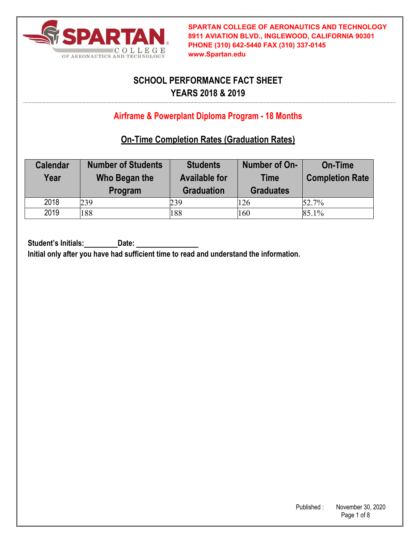

# **SCHOOL PERFORMANCE FACT SHEET YEARS 2018 & 2019**

## **Airframe & Powerplant Diploma Program - 18 Months**

## **On-Time Completion Rates (Graduation Rates)**

| <b>Calendar</b><br>Year | <b>Number of Students</b><br>Who Began the<br>Program | <b>Students</b><br><b>Available for</b><br><b>Graduation</b> | Number of On-<br><b>Time</b><br><b>Graduates</b> | <b>On-Time</b><br><b>Completion Rate</b> |
|-------------------------|-------------------------------------------------------|--------------------------------------------------------------|--------------------------------------------------|------------------------------------------|
| 2018                    | 239                                                   | 239                                                          | 126                                              | 52.7%                                    |
| 2019                    | 188                                                   | 188                                                          | 160                                              | 85.1%                                    |

Student's Initials: Date:

**Initial only after you have had sufficient time to read and understand the information.**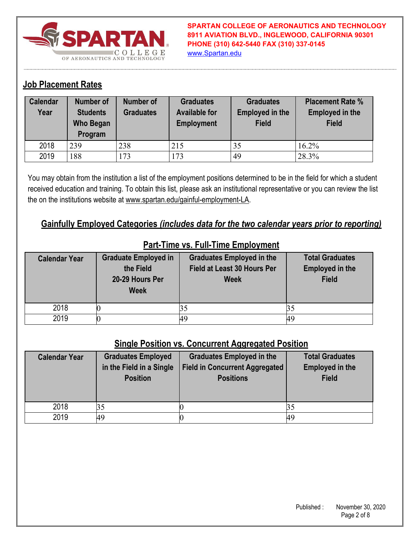

**SPARTAN COLLEGE OF AERONAUTICS AND TECHNOLOGY 8911 AVIATION BLVD., INGLEWOOD, CALIFORNIA 90301 PHONE (310) 642-5440 FAX (310) 337-0145** www.Spartan.edu

### **Job Placement Rates**

| Calendar<br>Year | <b>Number of</b><br><b>Students</b><br><b>Who Began</b><br>Program | Number of<br><b>Graduates</b> | <b>Graduates</b><br><b>Available for</b><br><b>Employment</b> | <b>Graduates</b><br><b>Employed in the</b><br><b>Field</b> | <b>Placement Rate %</b><br><b>Employed in the</b><br><b>Field</b> |
|------------------|--------------------------------------------------------------------|-------------------------------|---------------------------------------------------------------|------------------------------------------------------------|-------------------------------------------------------------------|
| 2018             | 239                                                                | 238                           | 215                                                           | 35                                                         | $16.2\%$                                                          |
| 2019             | 188                                                                | 173                           | 173                                                           | 49                                                         | 28.3%                                                             |

You may obtain from the institution a list of the employment positions determined to be in the field for which a student received education and training. To obtain this list, please ask an institutional representative or you can review the list the on the institutions website at www.spartan.edu/gainful-employment-LA.

### **Gainfully Employed Categories** *(includes data for the two calendar years prior to reporting)*

| <b>Calendar Year</b> | <b>Graduate Employed in</b><br>the Field<br>20-29 Hours Per<br><b>Week</b> | <b>Graduates Employed in the</b><br>Field at Least 30 Hours Per<br><b>Week</b> | <b>Total Graduates</b><br><b>Employed in the</b><br><b>Field</b> |
|----------------------|----------------------------------------------------------------------------|--------------------------------------------------------------------------------|------------------------------------------------------------------|
| 2018                 |                                                                            |                                                                                |                                                                  |
| 2019                 |                                                                            | 49                                                                             |                                                                  |

#### **Part-Time vs. Full-Time Employment**

#### **Single Position vs. Concurrent Aggregated Position**

| <b>Calendar Year</b> | <b>Graduates Employed</b><br>in the Field in a Single<br><b>Position</b> | <b>Graduates Employed in the</b><br><b>Field in Concurrent Aggregated</b><br><b>Positions</b> | <b>Total Graduates</b><br><b>Employed in the</b><br><b>Field</b> |
|----------------------|--------------------------------------------------------------------------|-----------------------------------------------------------------------------------------------|------------------------------------------------------------------|
| 2018                 | 35                                                                       |                                                                                               |                                                                  |
| 2019                 | 49                                                                       |                                                                                               | 49                                                               |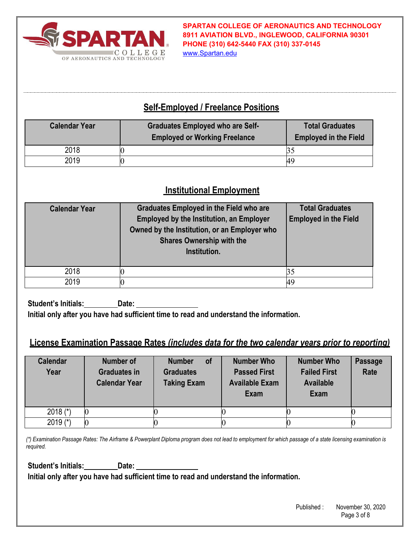

**SPARTAN COLLEGE OF AERONAUTICS AND TECHNOLOGY 8911 AVIATION BLVD., INGLEWOOD, CALIFORNIA 90301 PHONE (310) 642-5440 FAX (310) 337-0145**

www.Spartan.edu

## **Self-Employed / Freelance Positions**

| <b>Calendar Year</b> | <b>Graduates Employed who are Self-</b><br><b>Employed or Working Freelance</b> | <b>Total Graduates</b><br><b>Employed in the Field</b> |
|----------------------|---------------------------------------------------------------------------------|--------------------------------------------------------|
| 2018                 |                                                                                 |                                                        |
| 2019                 |                                                                                 | 49                                                     |

### **Institutional Employment**

| <b>Calendar Year</b> | <b>Graduates Employed in the Field who are</b><br><b>Employed by the Institution, an Employer</b><br>Owned by the Institution, or an Employer who<br><b>Shares Ownership with the</b><br>Institution. | <b>Total Graduates</b><br><b>Employed in the Field</b> |
|----------------------|-------------------------------------------------------------------------------------------------------------------------------------------------------------------------------------------------------|--------------------------------------------------------|
| 2018                 |                                                                                                                                                                                                       |                                                        |
| 2019                 |                                                                                                                                                                                                       | 49                                                     |

**Student's Initials: Date: Initial only after you have had sufficient time to read and understand the information.** 

## **License Examination Passage Rates** *(includes data for the two calendar years prior to reporting)*

| <b>Calendar</b><br>Year | Number of<br><b>Graduates in</b><br><b>Calendar Year</b> | <b>of</b><br><b>Number</b><br><b>Graduates</b><br><b>Taking Exam</b> | <b>Number Who</b><br><b>Passed First</b><br><b>Available Exam</b><br>Exam | <b>Number Who</b><br><b>Failed First</b><br><b>Available</b><br>Exam | <b>Passage</b><br>Rate |
|-------------------------|----------------------------------------------------------|----------------------------------------------------------------------|---------------------------------------------------------------------------|----------------------------------------------------------------------|------------------------|
| 2018 $(*)$              |                                                          |                                                                      |                                                                           |                                                                      |                        |
| 2019 $(*)$              |                                                          |                                                                      |                                                                           |                                                                      |                        |

*(\*) Examination Passage Rates: The Airframe & Powerplant Diploma program does not lead to employment for which passage of a state licensing examination is required.* 

**Student's Initials: Date:** 

**Initial only after you have had sufficient time to read and understand the information.**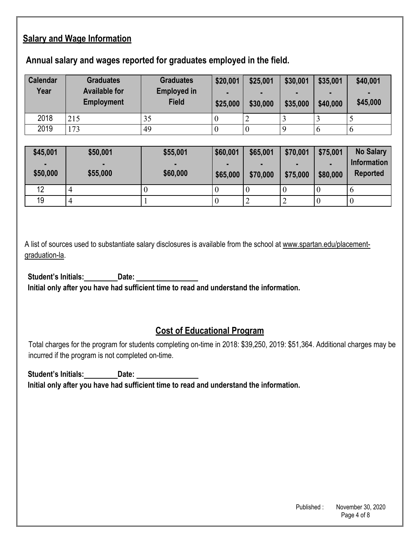## **Salary and Wage Information**

#### **Annual salary and wages reported for graduates employed in the field.**

| <b>Calendar</b><br>Year | <b>Graduates</b><br><b>Available for</b><br><b>Employment</b> | <b>Graduates</b><br><b>Employed in</b><br><b>Field</b> | \$20,001<br>\$25,000 | \$25,001<br>$\blacksquare$<br>\$30,000 | \$30,001<br>\$35,000 | \$35,001<br>$\blacksquare$<br>\$40,000 | \$40,001<br>$\blacksquare$<br>\$45,000 |
|-------------------------|---------------------------------------------------------------|--------------------------------------------------------|----------------------|----------------------------------------|----------------------|----------------------------------------|----------------------------------------|
| 2018                    | 215                                                           | 35                                                     |                      |                                        |                      |                                        |                                        |
| 2019                    | 173                                                           | 49                                                     |                      |                                        |                      | $\mathbf b$                            | $\mathbf 0$                            |

| \$45,001 | \$50,001 | \$55,001 | \$60,001 | \$65,001       | \$70,001 | \$75,001       | <b>No Salary</b>   |
|----------|----------|----------|----------|----------------|----------|----------------|--------------------|
| ٠        |          |          |          | $\blacksquare$ |          | $\blacksquare$ | <b>Information</b> |
| \$50,000 | \$55,000 | \$60,000 | \$65,000 | \$70,000       | \$75,000 | \$80,000       | <b>Reported</b>    |
| 12       | 4        |          |          |                |          |                |                    |
| 19       | 4        |          | ν        | ∽              |          |                |                    |

A list of sources used to substantiate salary disclosures is available from the school at www.spartan.edu/placementgraduation-la.

**Student's Initials: Date: Initial only after you have had sufficient time to read and understand the information.** 

### **Cost of Educational Program**

Total charges for the program for students completing on-time in 2018: \$39,250, 2019: \$51,364. Additional charges may be incurred if the program is not completed on-time.

**Student's Initials: Date: Initial only after you have had sufficient time to read and understand the information.**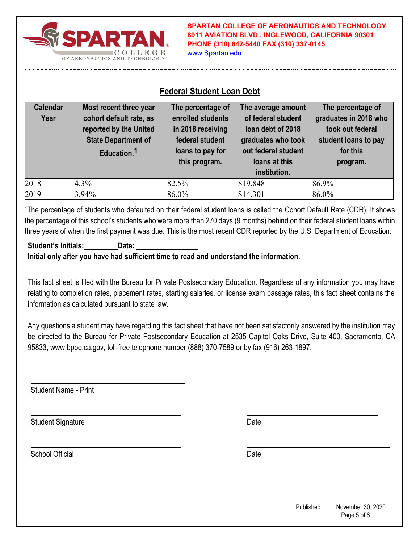

**SPARTAN COLLEGE OF AERONAUTICS AND TECHNOLOGY 8911 AVIATION BLVD., INGLEWOOD, CALIFORNIA 90301 PHONE (310) 642-5440 FAX (310) 337-0145** www.Spartan.edu

### **Federal Student Loan Debt**

| <b>Calendar</b><br>Year | Most recent three year<br>cohort default rate, as<br>reported by the United<br><b>State Department of</b><br>Education. <sup>1</sup> | The percentage of<br>enrolled students<br>in 2018 receiving<br>federal student<br>loans to pay for<br>this program. | The average amount<br>of federal student<br>loan debt of 2018<br>graduates who took<br>out federal student<br>loans at this<br>institution. | The percentage of<br>graduates in 2018 who<br>took out federal<br>student loans to pay<br>for this<br>program. |
|-------------------------|--------------------------------------------------------------------------------------------------------------------------------------|---------------------------------------------------------------------------------------------------------------------|---------------------------------------------------------------------------------------------------------------------------------------------|----------------------------------------------------------------------------------------------------------------|
| 2018                    | $4.3\%$                                                                                                                              | 82.5%                                                                                                               | \$19,848                                                                                                                                    | 86.9%                                                                                                          |
| 2019                    | 3.94%                                                                                                                                | 86.0%                                                                                                               | \$14,301                                                                                                                                    | 86.0%                                                                                                          |

1The percentage of students who defaulted on their federal student loans is called the Cohort Default Rate (CDR). It shows the percentage of this school's students who were more than 270 days (9 months) behind on their federal student loans within three years of when the first payment was due. This is the most recent CDR reported by the U.S. Department of Education.

#### **Student's Initials: Date: Initial only after you have had sufficient time to read and understand the information.**

This fact sheet is filed with the Bureau for Private Postsecondary Education. Regardless of any information you may have relating to completion rates, placement rates, starting salaries, or license exam passage rates, this fact sheet contains the information as calculated pursuant to state law.

Any questions a student may have regarding this fact sheet that have not been satisfactorily answered by the institution may be directed to the Bureau for Private Postsecondary Education at 2535 Capitol Oaks Drive, Suite 400, Sacramento, CA 95833, www.bppe.ca.gov, toll-free telephone number (888) 370-7589 or by fax (916) 263-1897.

Student Name - Print

Student Signature Date Date Controller and Date Date Date

School Official Date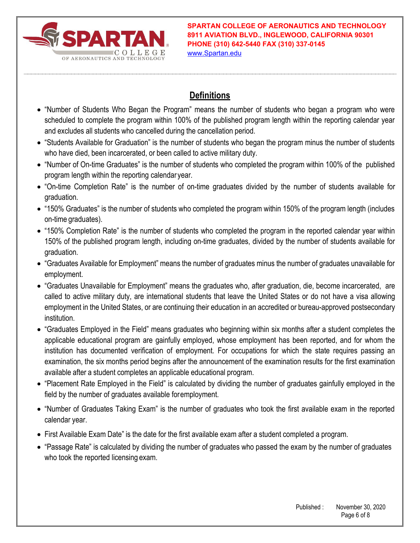

**SPARTAN COLLEGE OF AERONAUTICS AND TECHNOLOGY 8911 AVIATION BLVD., INGLEWOOD, CALIFORNIA 90301 PHONE (310) 642-5440 FAX (310) 337-0145** www.Spartan.edu

## **Definitions**

- "Number of Students Who Began the Program" means the number of students who began a program who were scheduled to complete the program within 100% of the published program length within the reporting calendar year and excludes all students who cancelled during the cancellation period.
- "Students Available for Graduation" is the number of students who began the program minus the number of students who have died, been incarcerated, or been called to active military duty.
- "Number of On-time Graduates" is the number of students who completed the program within 100% of the published program length within the reporting calendar year.
- "On-time Completion Rate" is the number of on-time graduates divided by the number of students available for graduation.
- "150% Graduates" is the number of students who completed the program within 150% of the program length (includes on-time graduates).
- "150% Completion Rate" is the number of students who completed the program in the reported calendar year within 150% of the published program length, including on-time graduates, divided by the number of students available for graduation.
- "Graduates Available for Employment" means the number of graduates minus the number of graduates unavailable for employment.
- "Graduates Unavailable for Employment" means the graduates who, after graduation, die, become incarcerated, are called to active military duty, are international students that leave the United States or do not have a visa allowing employment in the United States, or are continuing their education in an accredited or bureau-approved postsecondary institution.
- "Graduates Employed in the Field" means graduates who beginning within six months after a student completes the applicable educational program are gainfully employed, whose employment has been reported, and for whom the institution has documented verification of employment. For occupations for which the state requires passing an examination, the six months period begins after the announcement of the examination results for the first examination available after a student completes an applicable educational program.
- "Placement Rate Employed in the Field" is calculated by dividing the number of graduates gainfully employed in the field by the number of graduates available for employment.
- "Number of Graduates Taking Exam" is the number of graduates who took the first available exam in the reported calendar year.
- First Available Exam Date" is the date for the first available exam after a student completed a program.
- "Passage Rate" is calculated by dividing the number of graduates who passed the exam by the number of graduates who took the reported licensing exam.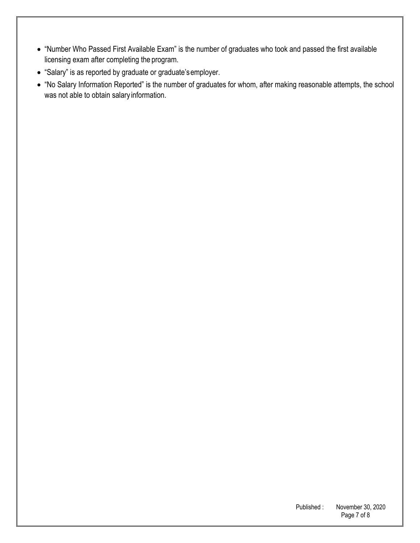- "Number Who Passed First Available Exam" is the number of graduates who took and passed the first available licensing exam after completing the program.
- "Salary" is as reported by graduate or graduate's employer.
- "No Salary Information Reported" is the number of graduates for whom, after making reasonable attempts, the school was not able to obtain salary information.